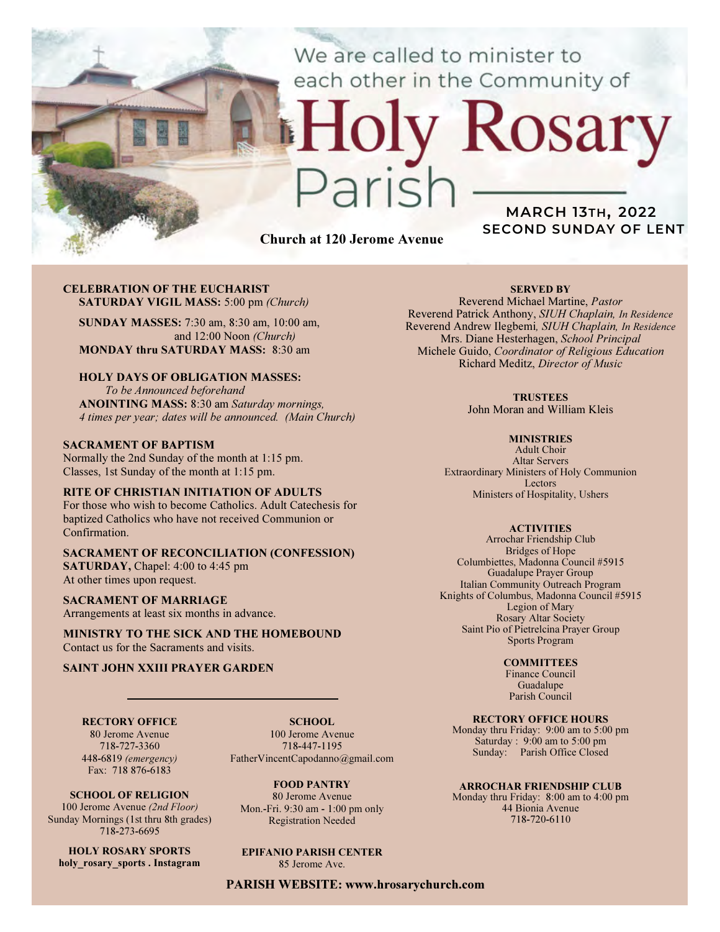We are called to minister to each other in the Community of

# Church at 120 Jerome Avenue

 $2710$ 

## MARCH 13TH, 2022 SECOND SUNDAY OF LENT

Rosary

#### CELEBRATION OF THE EUCHARIST SATURDAY VIGIL MASS: 5:00 pm (Church)

SUNDAY MASSES: 7:30 am, 8:30 am, 10:00 am, and 12:00 Noon (Church) MONDAY thru SATURDAY MASS: 8:30 am

### HOLY DAYS OF OBLIGATION MASSES:

To be Announced beforehand ANOINTING MASS: 8:30 am Saturday mornings, 4 times per year; dates will be announced. (Main Church)

#### SACRAMENT OF BAPTISM

Normally the 2nd Sunday of the month at 1:15 pm. Classes, 1st Sunday of the month at 1:15 pm.

#### RITE OF CHRISTIAN INITIATION OF ADULTS

For those who wish to become Catholics. Adult Catechesis for baptized Catholics who have not received Communion or Confirmation.

#### SACRAMENT OF RECONCILIATION (CONFESSION) SATURDAY, Chapel: 4:00 to 4:45 pm At other times upon request.

SACRAMENT OF MARRIAGE

Arrangements at least six months in advance.

MINISTRY TO THE SICK AND THE HOMEBOUND Contact us for the Sacraments and visits.

#### SAINT JOHN XXIII PRAYER GARDEN

RECTORY OFFICE 80 Jerome Avenue 718-727-3360

SCHOOL. 100 Jerome Avenue 718-447-1195 FatherVincentCapodanno@gmail.com

448-6819 (emergency) Fax: 718 876-6183 SCHOOL OF RELIGION 100 Jerome Avenue (2nd Floor)

Sunday Mornings (1st thru 8th grades) 718-273-6695

HOLY ROSARY SPORTS holy rosary sports . Instagram

FOOD PANTRY 80 Jerome Avenue Mon.-Fri. 9:30 am - 1:00 pm only Registration Needed

## EPIFANIO PARISH CENTER

85 Jerome Ave.

PARISH WEBSITE: www.hrosarychurch.com

### SERVED BY

Reverend Michael Martine, Pastor Reverend Patrick Anthony, SIUH Chaplain, In Residence Reverend Andrew Ilegbemi, SIUH Chaplain, In Residence Mrs. Diane Hesterhagen, School Principal Michele Guido, Coordinator of Religious Education Richard Meditz, Director of Music

#### **TRUSTEES**

John Moran and William Kleis

#### **MINISTRIES**

Adult Choir Altar Servers Extraordinary Ministers of Holy Communion Lectors Ministers of Hospitality, Ushers

#### **ACTIVITIES**

Arrochar Friendship Club Bridges of Hope Columbiettes, Madonna Council #5915 Guadalupe Prayer Group Italian Community Outreach Program Knights of Columbus, Madonna Council #5915 Legion of Mary Rosary Altar Society Saint Pio of Pietrelcina Prayer Group Sports Program

#### **COMMITTEES**

Finance Council Guadalupe Parish Council

#### RECTORY OFFICE HOURS

Monday thru Friday: 9:00 am to 5:00 pm Saturday : 9:00 am to 5:00 pm Sunday: Parish Office Closed

#### ARROCHAR FRIENDSHIP CLUB

Monday thru Friday: 8:00 am to 4:00 pm 44 Bionia Avenue 718-720-6110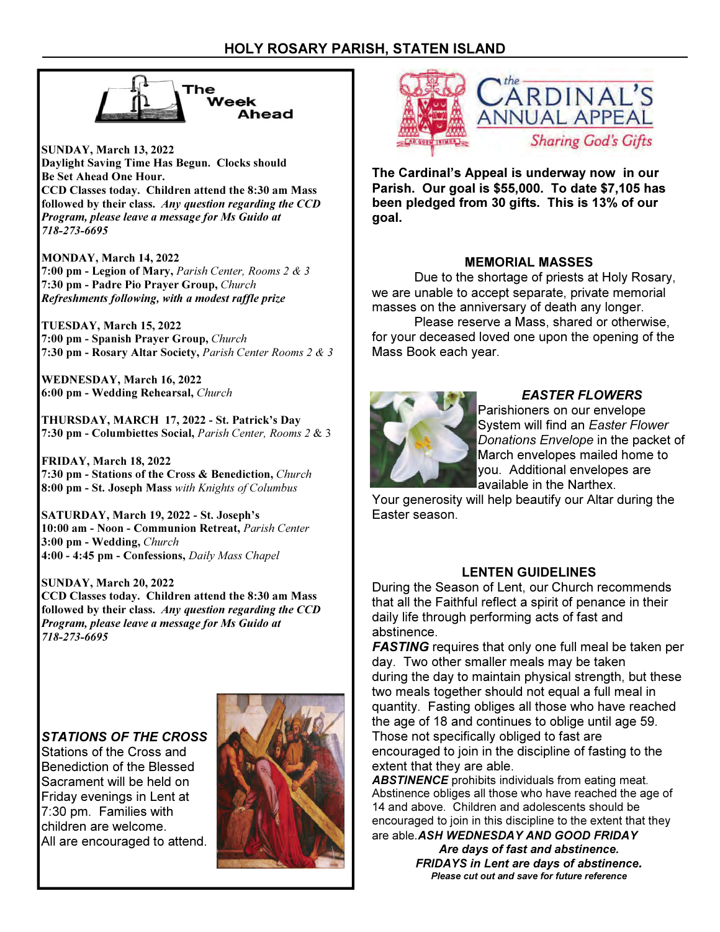

SUNDAY, March 13, 2022 Daylight Saving Time Has Begun. Clocks should Be Set Ahead One Hour. CCD Classes today. Children attend the 8:30 am Mass followed by their class. Any question regarding the CCD Program, please leave a message for Ms Guido at 718-273-6695

MONDAY, March 14, 2022 7:00 pm - Legion of Mary, Parish Center, Rooms 2 & 3 7:30 pm - Padre Pio Prayer Group, Church Refreshments following, with a modest raffle prize

TUESDAY, March 15, 2022 7:00 pm - Spanish Prayer Group, Church 7:30 pm - Rosary Altar Society, Parish Center Rooms 2 & 3

WEDNESDAY, March 16, 2022 6:00 pm - Wedding Rehearsal, Church

THURSDAY, MARCH 17, 2022 - St. Patrick's Day 7:30 pm - Columbiettes Social, Parish Center, Rooms 2 & 3

FRIDAY, March 18, 2022 7:30 pm - Stations of the Cross & Benediction, Church 8:00 pm - St. Joseph Mass with Knights of Columbus

SATURDAY, March 19, 2022 - St. Joseph's 10:00 am - Noon - Communion Retreat, Parish Center 3:00 pm - Wedding, Church 4:00 - 4:45 pm - Confessions, Daily Mass Chapel

SUNDAY, March 20, 2022 CCD Classes today. Children attend the 8:30 am Mass followed by their class. Any question regarding the CCD Program, please leave a message for Ms Guido at 718-273-6695

## STATIONS OF THE CROSS

Stations of the Cross and Benediction of the Blessed Sacrament will be held on Friday evenings in Lent at 7:30 pm. Families with children are welcome. All are encouraged to attend.





The Cardinal's Appeal is underway now in our Parish. Our goal is \$55,000. To date \$7,105 has been pledged from 30 gifts. This is 13% of our goal.

## MEMORIAL MASSES

 Due to the shortage of priests at Holy Rosary, we are unable to accept separate, private memorial masses on the anniversary of death any longer.

 Please reserve a Mass, shared or otherwise, for your deceased loved one upon the opening of the Mass Book each year.



## EASTER FLOWERS

Parishioners on our envelope System will find an Easter Flower Donations Envelope in the packet of March envelopes mailed home to you. Additional envelopes are available in the Narthex.

Your generosity will help beautify our Altar during the Easter season.

## LENTEN GUIDELINES

During the Season of Lent, our Church recommends that all the Faithful reflect a spirit of penance in their daily life through performing acts of fast and abstinence.

**FASTING** requires that only one full meal be taken per day. Two other smaller meals may be taken during the day to maintain physical strength, but these two meals together should not equal a full meal in quantity. Fasting obliges all those who have reached the age of 18 and continues to oblige until age 59. Those not specifically obliged to fast are encouraged to join in the discipline of fasting to the extent that they are able.

**ABSTINENCE** prohibits individuals from eating meat. Abstinence obliges all those who have reached the age of 14 and above. Children and adolescents should be encouraged to join in this discipline to the extent that they are able. ASH WEDNESDAY AND GOOD FRIDAY

> Are days of fast and abstinence. FRIDAYS in Lent are days of abstinence. Please cut out and save for future reference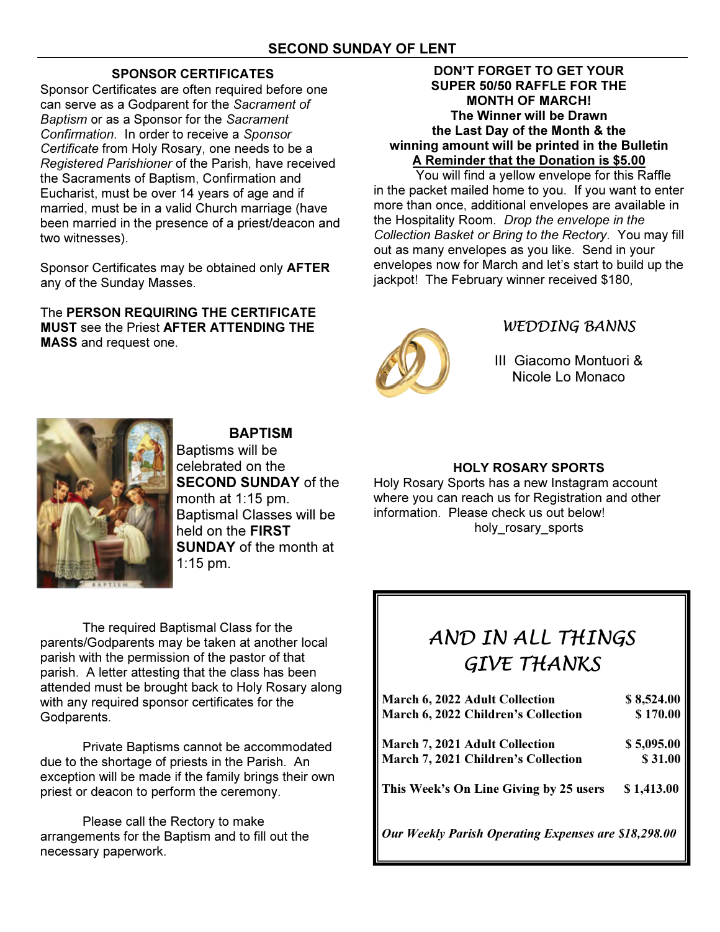## SPONSOR CERTIFICATES

Sponsor Certificates are often required before one can serve as a Godparent for the Sacrament of Baptism or as a Sponsor for the Sacrament Confirmation. In order to receive a Sponsor Certificate from Holy Rosary, one needs to be a Registered Parishioner of the Parish, have received the Sacraments of Baptism, Confirmation and Eucharist, must be over 14 years of age and if married, must be in a valid Church marriage (have been married in the presence of a priest/deacon and two witnesses).

Sponsor Certificates may be obtained only AFTER any of the Sunday Masses.

The PERSON REQUIRING THE CERTIFICATE MUST see the Priest AFTER ATTENDING THE MASS and request one.

## DON'T FORGET TO GET YOUR SUPER 50/50 RAFFLE FOR THE MONTH OF MARCH! The Winner will be Drawn the Last Day of the Month & the winning amount will be printed in the Bulletin A Reminder that the Donation is \$5.00

 You will find a yellow envelope for this Raffle in the packet mailed home to you. If you want to enter more than once, additional envelopes are available in the Hospitality Room. Drop the envelope in the Collection Basket or Bring to the Rectory. You may fill out as many envelopes as you like. Send in your envelopes now for March and let's start to build up the jackpot! The February winner received \$180,



## WEDDING BANNS

III Giacomo Montuori & Nicole Lo Monaco



## BAPTISM

Baptisms will be celebrated on the SECOND SUNDAY of the month at 1:15 pm. Baptismal Classes will be held on the FIRST **SUNDAY** of the month at 1:15 pm.

HOLY ROSARY SPORTS

Holy Rosary Sports has a new Instagram account where you can reach us for Registration and other information. Please check us out below! holy rosary sports

The required Baptismal Class for the parents/Godparents may be taken at another local parish with the permission of the pastor of that parish. A letter attesting that the class has been attended must be brought back to Holy Rosary along with any required sponsor certificates for the Godparents.

 Private Baptisms cannot be accommodated due to the shortage of priests in the Parish. An exception will be made if the family brings their own priest or deacon to perform the ceremony.

 Please call the Rectory to make arrangements for the Baptism and to fill out the necessary paperwork.

# AND IN ALL THINGS GIVE THANKS

| March 6, 2022 Adult Collection                       | \$8,524.00 |
|------------------------------------------------------|------------|
| <b>March 6, 2022 Children's Collection</b>           | \$170.00   |
| March 7, 2021 Adult Collection                       | \$5,095.00 |
| <b>March 7, 2021 Children's Collection</b>           | \$31.00    |
| This Week's On Line Giving by 25 users               | \$1,413.00 |
| Our Weekly Parish Operating Expenses are \$18,298.00 |            |